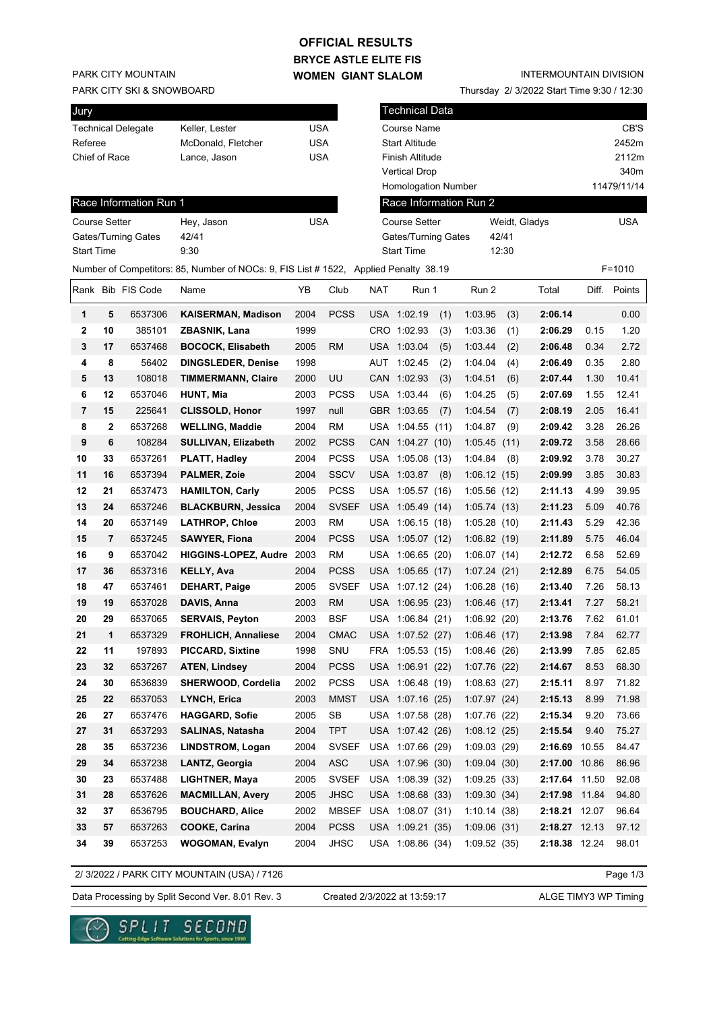## **OFFICIAL RESULTS**

**BRYCE ASTLE ELITE FIS WOMEN GIANT SLALOM**

PARK CITY MOUNTAIN

PARK CITY SKI & SNOWBOARD

| Jury                      |                    |     |
|---------------------------|--------------------|-----|
| <b>Technical Delegate</b> | Keller. Lester     | USA |
| Referee                   | McDonald, Fletcher | USA |
| Chief of Race             | Lance, Jason       | USA |
|                           |                    |     |

#### INTERMOUNTAIN DIVISION

Thursday 2/ 3/2022 Start Time 9:30 / 12:30

| Jury                 |    |                        |                                                                                      |            |              |            | <b>Technical Data</b>      |      |                        |       |               |       |             |
|----------------------|----|------------------------|--------------------------------------------------------------------------------------|------------|--------------|------------|----------------------------|------|------------------------|-------|---------------|-------|-------------|
|                      |    | Technical Delegate     | Keller, Lester                                                                       | <b>USA</b> |              |            | Course Name                |      |                        |       |               |       | CB'S        |
| Referee              |    |                        | McDonald, Fletcher                                                                   | <b>USA</b> |              |            | <b>Start Altitude</b>      |      |                        |       |               |       | 2452m       |
| Chief of Race        |    |                        | Lance, Jason                                                                         | <b>USA</b> |              |            | Finish Altitude            |      |                        |       |               |       | 2112m       |
|                      |    |                        |                                                                                      |            |              |            | <b>Vertical Drop</b>       |      |                        |       |               |       | 340m        |
|                      |    |                        |                                                                                      |            |              |            | <b>Homologation Number</b> |      |                        |       |               |       | 11479/11/14 |
|                      |    | Race Information Run 1 |                                                                                      |            |              |            |                            |      | Race Information Run 2 |       |               |       |             |
| <b>Course Setter</b> |    |                        | Hey, Jason                                                                           | <b>USA</b> |              |            | <b>Course Setter</b>       |      |                        |       | Weidt, Gladys |       | <b>USA</b>  |
|                      |    | Gates/Turning Gates    | 42/41                                                                                |            |              |            | Gates/Turning Gates        |      |                        | 42/41 |               |       |             |
| <b>Start Time</b>    |    |                        | 9:30                                                                                 |            |              |            | <b>Start Time</b>          |      |                        | 12:30 |               |       |             |
|                      |    |                        | Number of Competitors: 85, Number of NOCs: 9, FIS List # 1522, Applied Penalty 38.19 |            |              |            |                            |      |                        |       |               |       | $F = 1010$  |
|                      |    | Rank Bib FIS Code      | Name                                                                                 | YΒ         | Club         | <b>NAT</b> | Run 1                      |      | Run 2                  |       | Total         | Diff. | Points      |
| 1                    | 5  | 6537306                | <b>KAISERMAN, Madison</b>                                                            | 2004       | <b>PCSS</b>  |            | USA 1:02.19                | (1)  | 1:03.95                | (3)   | 2:06.14       |       | 0.00        |
| 2                    | 10 | 385101                 | ZBASNIK, Lana                                                                        | 1999       |              |            | CRO 1:02.93                | (3)  | 1:03.36                | (1)   | 2:06.29       | 0.15  | 1.20        |
| 3                    | 17 | 6537468                | <b>BOCOCK, Elisabeth</b>                                                             | 2005       | <b>RM</b>    |            | USA 1:03.04                | (5)  | 1:03.44                | (2)   | 2:06.48       | 0.34  | 2.72        |
| 4                    | 8  | 56402                  | <b>DINGSLEDER, Denise</b>                                                            | 1998       |              | AUT        | 1:02.45                    | (2)  | 1:04.04                | (4)   | 2:06.49       | 0.35  | 2.80        |
| 5                    | 13 | 108018                 | <b>TIMMERMANN, Claire</b>                                                            | 2000       | UU           |            | CAN 1:02.93                | (3)  | 1:04.51                | (6)   | 2:07.44       | 1.30  | 10.41       |
| 6                    | 12 | 6537046                | <b>HUNT, Mia</b>                                                                     | 2003       | <b>PCSS</b>  |            | USA 1:03.44                | (6)  | 1:04.25                | (5)   | 2:07.69       | 1.55  | 12.41       |
| 7                    | 15 | 225641                 | <b>CLISSOLD, Honor</b>                                                               | 1997       | null         |            | GBR 1:03.65                | (7)  | 1:04.54                | (7)   | 2:08.19       | 2.05  | 16.41       |
| 8                    | 2  | 6537268                | <b>WELLING, Maddie</b>                                                               | 2004       | <b>RM</b>    |            | USA 1:04.55                | (11) | 1:04.87                | (9)   | 2:09.42       | 3.28  | 26.26       |
| 9                    | 6  | 108284                 | <b>SULLIVAN, Elizabeth</b>                                                           | 2002       | <b>PCSS</b>  |            | CAN 1:04.27 (10)           |      | 1:05.45                | (11)  | 2:09.72       | 3.58  | 28.66       |
| 10                   | 33 | 6537261                | PLATT, Hadley                                                                        | 2004       | <b>PCSS</b>  |            | USA 1:05.08 (13)           |      | 1:04.84                | (8)   | 2:09.92       | 3.78  | 30.27       |
| 11                   | 16 | 6537394                | <b>PALMER, Zoie</b>                                                                  | 2004       | <b>SSCV</b>  |            | USA 1:03.87                | (8)  | 1:06.12(15)            |       | 2:09.99       | 3.85  | 30.83       |
| 12                   | 21 | 6537473                | <b>HAMILTON, Carly</b>                                                               | 2005       | <b>PCSS</b>  |            | USA 1:05.57 (16)           |      | 1:05.56(12)            |       | 2:11.13       | 4.99  | 39.95       |
| 13                   | 24 | 6537246                | <b>BLACKBURN, Jessica</b>                                                            | 2004       | <b>SVSEF</b> |            | USA 1:05.49 (14)           |      | 1:05.74(13)            |       | 2:11.23       | 5.09  | 40.76       |
| 14                   | 20 | 6537149                | <b>LATHROP, Chloe</b>                                                                | 2003       | <b>RM</b>    |            | USA 1:06.15 (18)           |      | 1:05.28(10)            |       | 2:11.43       | 5.29  | 42.36       |
| 15                   | 7  | 6537245                | <b>SAWYER, Fiona</b>                                                                 | 2004       | <b>PCSS</b>  |            | USA 1:05.07 (12)           |      | 1:06.82(19)            |       | 2:11.89       | 5.75  | 46.04       |
| 16                   | 9  | 6537042                | <b>HIGGINS-LOPEZ, Audre</b>                                                          | 2003       | <b>RM</b>    |            | USA 1:06.65 (20)           |      | 1:06.07(14)            |       | 2:12.72       | 6.58  | 52.69       |
| 17                   | 36 | 6537316                | <b>KELLY, Ava</b>                                                                    | 2004       | <b>PCSS</b>  |            | USA 1:05.65 (17)           |      | 1:07.24(21)            |       | 2:12.89       | 6.75  | 54.05       |
| 18                   | 47 | 6537461                | <b>DEHART, Paige</b>                                                                 | 2005       | <b>SVSEF</b> |            | USA 1:07.12 (24)           |      | 1:06.28(16)            |       | 2:13.40       | 7.26  | 58.13       |
| 19                   | 19 | 6537028                | DAVIS, Anna                                                                          | 2003       | <b>RM</b>    |            | USA 1:06.95 (23)           |      | 1:06.46(17)            |       | 2:13.41       | 7.27  | 58.21       |
| 20                   | 29 | 6537065                | <b>SERVAIS, Peyton</b>                                                               | 2003       | <b>BSF</b>   |            | USA 1:06.84 (21)           |      | 1:06.92(20)            |       | 2:13.76       | 7.62  | 61.01       |
| 21                   | 1  | 6537329                | <b>FROHLICH, Annaliese</b>                                                           | 2004       | <b>CMAC</b>  |            | USA 1:07.52 (27)           |      | 1:06.46(17)            |       | 2:13.98       | 7.84  | 62.77       |
| 22                   | 11 | 197893                 | <b>PICCARD, Sixtine</b>                                                              | 1998       | SNU          |            | FRA 1:05.53 (15)           |      | 1:08.46(26)            |       | 2:13.99       | 7.85  | 62.85       |
| 23                   | 32 | 6537267                | <b>ATEN, Lindsey</b>                                                                 | 2004       | <b>PCSS</b>  |            | USA 1:06.91 (22)           |      | 1:07.76(22)            |       | 2:14.67       | 8.53  | 68.30       |
| 24                   | 30 | 6536839                | SHERWOOD, Cordelia                                                                   | 2002       | <b>PCSS</b>  |            | USA 1:06.48 (19)           |      | 1:08.63(27)            |       | 2:15.11       | 8.97  | 71.82       |
| 25                   | 22 | 6537053                | LYNCH, Erica                                                                         | 2003       | <b>MMST</b>  |            | USA 1:07.16 (25)           |      | 1:07.97(24)            |       | 2:15.13       | 8.99  | 71.98       |
| 26                   | 27 | 6537476                | <b>HAGGARD, Sofie</b>                                                                | 2005       | <b>SB</b>    |            | USA 1:07.58 (28)           |      | 1:07.76 (22)           |       | 2:15.34       | 9.20  | 73.66       |
| 27                   | 31 | 6537293                | <b>SALINAS, Natasha</b>                                                              | 2004       | <b>TPT</b>   |            | USA 1:07.42 (26)           |      | 1:08.12(25)            |       | 2:15.54       | 9.40  | 75.27       |
| 28                   | 35 | 6537236                | <b>LINDSTROM, Logan</b>                                                              | 2004       | <b>SVSEF</b> |            | USA 1:07.66 (29)           |      | 1:09.03(29)            |       | 2:16.69       | 10.55 | 84.47       |
| 29                   | 34 | 6537238                | LANTZ, Georgia                                                                       | 2004       | ASC          |            | USA 1:07.96 (30)           |      | 1:09.04(30)            |       | 2:17.00 10.86 |       | 86.96       |
| 30                   | 23 | 6537488                | LIGHTNER, Maya                                                                       | 2005       | <b>SVSEF</b> |            | USA 1:08.39 (32)           |      | 1:09.25(33)            |       | 2:17.64 11.50 |       | 92.08       |
| 31                   | 28 | 6537626                | <b>MACMILLAN, Avery</b>                                                              | 2005       | <b>JHSC</b>  |            | USA 1:08.68 (33)           |      | 1:09.30(34)            |       | 2:17.98 11.84 |       | 94.80       |
| 32                   | 37 | 6536795                | <b>BOUCHARD, Alice</b>                                                               | 2002       |              |            | MBSEF USA 1:08.07 (31)     |      | 1:10.14(38)            |       | 2:18.21 12.07 |       | 96.64       |
| 33                   | 57 | 6537263                | <b>COOKE, Carina</b>                                                                 | 2004       | <b>PCSS</b>  |            | USA 1:09.21 (35)           |      | 1:09.06(31)            |       | 2:18.27 12.13 |       | 97.12       |
| 34                   | 39 | 6537253                | <b>WOGOMAN, Evalyn</b>                                                               | 2004       | JHSC         |            | USA 1:08.86 (34)           |      | 1:09.52(35)            |       | 2:18.38 12.24 |       | 98.01       |
|                      |    |                        |                                                                                      |            |              |            |                            |      |                        |       |               |       |             |

2/ 3/2022 / PARK CITY MOUNTAIN (USA) / 7126

Page 1/3

Data Processing by Split Second Ver. 8.01 Rev. 3 Created 2/3/2022 at 13:59:17 ALGE TIMY3 WP Timing

Created 2/3/2022 at 13:59:17

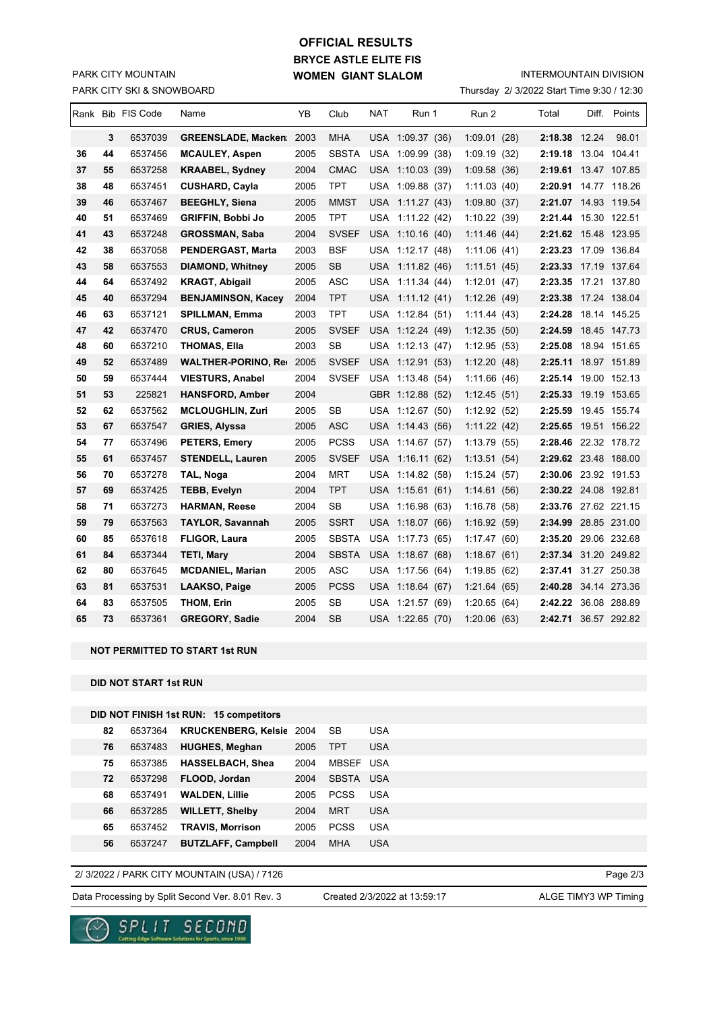# **BRYCE ASTLE ELITE FIS WOMEN GIANT SLALOM OFFICIAL RESULTS**

PARK CITY SKI & SNOWBOARD PARK CITY MOUNTAIN

### INTERMOUNTAIN DIVISION

Thursday 2/ 3/2022 Start Time 9:30 / 12:30

|    |    | Rank Bib FIS Code | Name                             | ΥB   | Club         | NAT        | Run 1            | Run 2        | Total                | Diff. Points |
|----|----|-------------------|----------------------------------|------|--------------|------------|------------------|--------------|----------------------|--------------|
|    | 3  | 6537039           | <b>GREENSLADE, Macken</b> 2003   |      | <b>MHA</b>   |            | USA 1:09.37 (36) | 1:09.01(28)  | 2:18.38 12.24        | 98.01        |
| 36 | 44 | 6537456           | <b>MCAULEY, Aspen</b>            | 2005 | <b>SBSTA</b> |            | USA 1:09.99 (38) | 1:09.19(32)  | 2:19.18              | 13.04 104.41 |
| 37 | 55 | 6537258           | <b>KRAABEL, Sydney</b>           | 2004 | <b>CMAC</b>  |            | USA 1:10.03 (39) | 1:09.58(36)  | 2:19.61 13.47 107.85 |              |
| 38 | 48 | 6537451           | <b>CUSHARD, Cayla</b>            | 2005 | TPT          |            | USA 1:09.88 (37) | 1:11.03(40)  | 2:20.91 14.77 118.26 |              |
| 39 | 46 | 6537467           | <b>BEEGHLY, Siena</b>            | 2005 | MMST         | USA        | 1:11.27(43)      | 1:09.80(37)  | 2:21.07 14.93 119.54 |              |
| 40 | 51 | 6537469           | GRIFFIN, Bobbi Jo                | 2005 | TPT.         | USA        | 1:11.22 (42)     | 1:10.22(39)  | 2:21.44 15.30 122.51 |              |
| 41 | 43 | 6537248           | <b>GROSSMAN, Saba</b>            | 2004 | <b>SVSEF</b> |            | USA 1:10.16 (40) | 1:11.46(44)  | 2:21.62 15.48 123.95 |              |
| 42 | 38 | 6537058           | PENDERGAST, Marta                | 2003 | <b>BSF</b>   |            | USA 1:12.17 (48) | 1:11.06(41)  | 2:23.23 17.09 136.84 |              |
| 43 | 58 | 6537553           | <b>DIAMOND, Whitney</b>          | 2005 | <b>SB</b>    | <b>USA</b> | 1:11.82 (46)     | 1:11.51(45)  | 2:23.33 17.19 137.64 |              |
| 44 | 64 | 6537492           | <b>KRAGT, Abigail</b>            | 2005 | ASC          |            | USA 1:11.34 (44) | 1:12.01(47)  | 2:23.35              | 17.21 137.80 |
| 45 | 40 | 6537294           | <b>BENJAMINSON, Kacey</b>        | 2004 | <b>TPT</b>   |            | USA 1:11.12 (41) | 1:12.26(49)  | 2:23.38              | 17.24 138.04 |
| 46 | 63 | 6537121           | SPILLMAN, Emma                   | 2003 | TPT          |            | USA 1:12.84 (51) | 1:11.44(43)  | 2:24.28 18.14 145.25 |              |
| 47 | 42 | 6537470           | <b>CRUS, Cameron</b>             | 2005 | <b>SVSEF</b> |            | USA 1:12.24 (49) | 1:12.35(50)  | 2:24.59              | 18.45 147.73 |
| 48 | 60 | 6537210           | <b>THOMAS, Ella</b>              | 2003 | <b>SB</b>    |            | USA 1:12.13 (47) | 1:12.95(53)  | 2:25.08              | 18.94 151.65 |
| 49 | 52 | 6537489           | <b>WALTHER-PORINO, Rev. 2005</b> |      | <b>SVSEF</b> |            | USA 1:12.91 (53) | 1:12.20(48)  | 2:25.11 18.97 151.89 |              |
| 50 | 59 | 6537444           | <b>VIESTURS, Anabel</b>          | 2004 | <b>SVSEF</b> |            | USA 1:13.48 (54) | 1:11.66(46)  | 2:25.14 19.00 152.13 |              |
| 51 | 53 | 225821            | <b>HANSFORD, Amber</b>           | 2004 |              |            | GBR 1:12.88 (52) | 1:12.45(51)  | 2:25.33 19.19 153.65 |              |
| 52 | 62 | 6537562           | <b>MCLOUGHLIN, Zuri</b>          | 2005 | <b>SB</b>    |            | USA 1:12.67 (50) | 1:12.92 (52) | 2:25.59              | 19.45 155.74 |
| 53 | 67 | 6537547           | <b>GRIES, Alyssa</b>             | 2005 | <b>ASC</b>   |            | USA 1:14.43 (56) | 1:11.22 (42) | 2:25.65 19.51 156.22 |              |
| 54 | 77 | 6537496           | PETERS, Emery                    | 2005 | <b>PCSS</b>  | USA        | 1:14.67(57)      | 1:13.79(55)  | 2:28.46 22.32 178.72 |              |
| 55 | 61 | 6537457           | <b>STENDELL, Lauren</b>          | 2005 | <b>SVSEF</b> |            | USA 1:16.11 (62) | 1:13.51(54)  | 2:29.62 23.48 188.00 |              |
| 56 | 70 | 6537278           | TAL, Noga                        | 2004 | <b>MRT</b>   |            | USA 1:14.82 (58) | 1:15.24(57)  | 2:30.06 23.92 191.53 |              |
| 57 | 69 | 6537425           | TEBB, Evelyn                     | 2004 | <b>TPT</b>   |            | USA 1:15.61 (61) | 1:14.61(56)  | 2:30.22 24.08 192.81 |              |
| 58 | 71 | 6537273           | <b>HARMAN, Reese</b>             | 2004 | <b>SB</b>    |            | USA 1:16.98 (63) | 1:16.78(58)  | 2:33.76 27.62 221.15 |              |
| 59 | 79 | 6537563           | <b>TAYLOR, Savannah</b>          | 2005 | <b>SSRT</b>  |            | USA 1:18.07 (66) | 1:16.92(59)  | 2:34.99 28.85 231.00 |              |
| 60 | 85 | 6537618           | <b>FLIGOR, Laura</b>             | 2005 | <b>SBSTA</b> |            | USA 1:17.73 (65) | 1:17.47(60)  | 2:35.20 29.06 232.68 |              |
| 61 | 84 | 6537344           | <b>TETI, Mary</b>                | 2004 | <b>SBSTA</b> | <b>USA</b> | 1:18.67(68)      | 1:18.67(61)  | 2:37.34 31.20 249.82 |              |
| 62 | 80 | 6537645           | <b>MCDANIEL, Marian</b>          | 2005 | <b>ASC</b>   |            | USA 1:17.56 (64) | 1:19.85(62)  | 2:37.41 31.27 250.38 |              |
| 63 | 81 | 6537531           | LAAKSO, Paige                    | 2005 | <b>PCSS</b>  |            | USA 1:18.64 (67) | 1:21.64(65)  | 2:40.28 34.14 273.36 |              |
| 64 | 83 | 6537505           | THOM, Erin                       | 2005 | SB           | USA        | 1:21.57 (69)     | 1:20.65(64)  | 2:42.22 36.08 288.89 |              |
| 65 | 73 | 6537361           | <b>GREGORY, Sadie</b>            | 2004 | <b>SB</b>    |            | USA 1:22.65 (70) | 1:20.06(63)  | 2:42.71 36.57 292.82 |              |

**NOT PERMITTED TO START 1st RUN**

**DID NOT START 1st RUN**

## **DID NOT FINISH 1st RUN: 15 competitors**

| 82 | 6537364 | <b>KRUCKENBERG, Kelsie</b> | 2004 | SВ           | <b>USA</b> |
|----|---------|----------------------------|------|--------------|------------|
| 76 | 6537483 | <b>HUGHES, Meghan</b>      | 2005 | TPT          | USA        |
| 75 | 6537385 | <b>HASSELBACH, Shea</b>    | 2004 | <b>MBSEF</b> | USA        |
| 72 | 6537298 | FLOOD, Jordan              | 2004 | <b>SBSTA</b> | USA        |
| 68 | 6537491 | <b>WALDEN, Lillie</b>      | 2005 | <b>PCSS</b>  | <b>USA</b> |
| 66 | 6537285 | <b>WILLETT, Shelby</b>     | 2004 | MRT          | USA        |
| 65 | 6537452 | <b>TRAVIS, Morrison</b>    | 2005 | <b>PCSS</b>  | USA        |
| 56 | 6537247 | <b>BUTZLAFF, Campbell</b>  | 2004 | MHA          | USA        |

### 2/ 3/2022 / PARK CITY MOUNTAIN (USA) / 7126

Data Processing by Split Second Ver. 8.01 Rev. 3 Created 2/3/2022 at 13:59:17 ALGE TIMY3 WP Timing

SPLIT SECOND

 $\sim$ 

Created 2/3/2022 at 13:59:17

Page 2/3